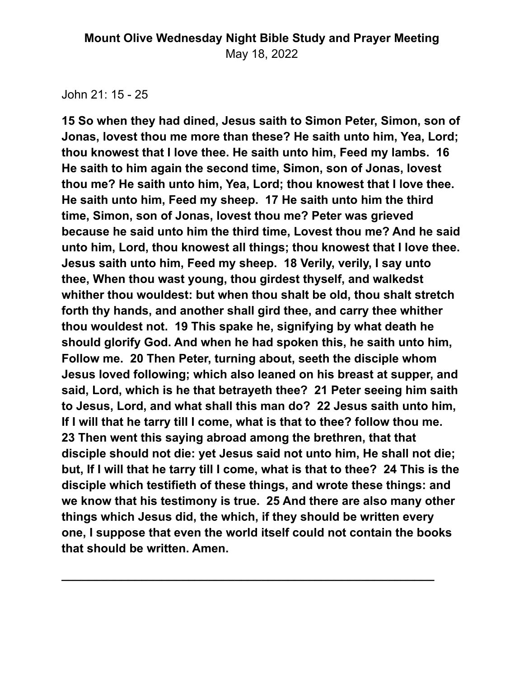John 21: 15 - 25

**15 So when they had dined, Jesus saith to Simon Peter, Simon, son of Jonas, lovest thou me more than these? He saith unto him, Yea, Lord; thou knowest that I love thee. He saith unto him, Feed my lambs. 16 He saith to him again the second time, Simon, son of Jonas, lovest thou me? He saith unto him, Yea, Lord; thou knowest that I love thee. He saith unto him, Feed my sheep. 17 He saith unto him the third time, Simon, son of Jonas, lovest thou me? Peter was grieved because he said unto him the third time, Lovest thou me? And he said unto him, Lord, thou knowest all things; thou knowest that I love thee. Jesus saith unto him, Feed my sheep. 18 Verily, verily, I say unto thee, When thou wast young, thou girdest thyself, and walkedst whither thou wouldest: but when thou shalt be old, thou shalt stretch forth thy hands, and another shall gird thee, and carry thee whither thou wouldest not. 19 This spake he, signifying by what death he should glorify God. And when he had spoken this, he saith unto him, Follow me. 20 Then Peter, turning about, seeth the disciple whom Jesus loved following; which also leaned on his breast at supper, and said, Lord, which is he that betrayeth thee? 21 Peter seeing him saith to Jesus, Lord, and what shall this man do? 22 Jesus saith unto him, If I will that he tarry till I come, what is that to thee? follow thou me. 23 Then went this saying abroad among the brethren, that that disciple should not die: yet Jesus said not unto him, He shall not die; but, If I will that he tarry till I come, what is that to thee? 24 This is the disciple which testifieth of these things, and wrote these things: and we know that his testimony is true. 25 And there are also many other things which Jesus did, the which, if they should be written every one, I suppose that even the world itself could not contain the books that should be written. Amen.**

**\_\_\_\_\_\_\_\_\_\_\_\_\_\_\_\_\_\_\_\_\_\_\_\_\_\_\_\_\_\_\_\_\_\_\_\_\_\_\_\_\_\_\_\_\_\_\_\_\_\_\_\_\_\_\_\_**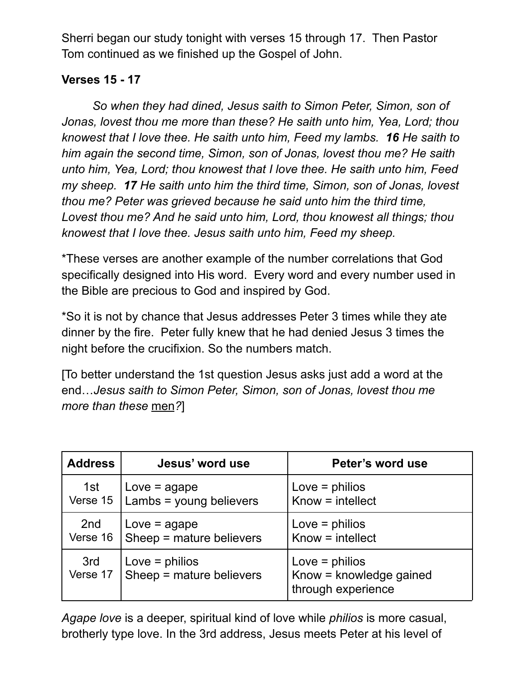Sherri began our study tonight with verses 15 through 17. Then Pastor Tom continued as we finished up the Gospel of John.

# **Verses 15 - 17**

*So when they had dined, Jesus saith to Simon Peter, Simon, son of Jonas, lovest thou me more than these? He saith unto him, Yea, Lord; thou knowest that I love thee. He saith unto him, Feed my lambs. 16 He saith to him again the second time, Simon, son of Jonas, lovest thou me? He saith unto him, Yea, Lord; thou knowest that I love thee. He saith unto him, Feed my sheep. 17 He saith unto him the third time, Simon, son of Jonas, lovest thou me? Peter was grieved because he said unto him the third time, Lovest thou me? And he said unto him, Lord, thou knowest all things; thou knowest that I love thee. Jesus saith unto him, Feed my sheep.*

\*These verses are another example of the number correlations that God specifically designed into His word. Every word and every number used in the Bible are precious to God and inspired by God.

\*So it is not by chance that Jesus addresses Peter 3 times while they ate dinner by the fire. Peter fully knew that he had denied Jesus 3 times the night before the crucifixion. So the numbers match.

[To better understand the 1st question Jesus asks just add a word at the end…*Jesus saith to Simon Peter, Simon, son of Jonas, lovest thou me more than these* men*?*]

| <b>Address</b>  | Jesus' word use                              | Peter's word use                                                  |
|-----------------|----------------------------------------------|-------------------------------------------------------------------|
| 1st             | $Love = agape$                               | Love $=$ philios                                                  |
| Verse 15        | Lambs = young believers                      | $Know = intellect$                                                |
| 2nd             | $Love = age$                                 | Love $=$ philios                                                  |
| Verse 16        | Sheep = mature believers                     | $Know = intellect$                                                |
| 3rd<br>Verse 17 | Love $=$ philios<br>Sheep = mature believers | Love $=$ philios<br>Know = knowledge gained<br>through experience |

*Agape love* is a deeper, spiritual kind of love while *philios* is more casual, brotherly type love. In the 3rd address, Jesus meets Peter at his level of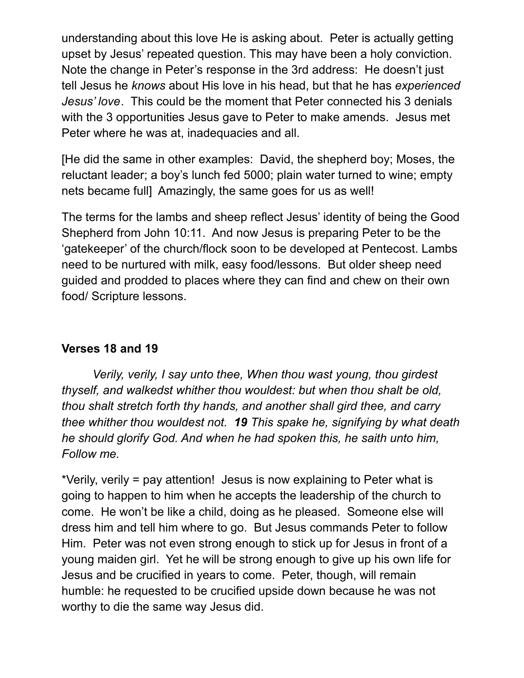understanding about this love He is asking about. Peter is actually getting upset by Jesus' repeated question. This may have been a holy conviction. Note the change in Peter's response in the 3rd address: He doesn't just tell Jesus he *knows* about His love in his head, but that he has *experienced Jesus' love*. This could be the moment that Peter connected his 3 denials with the 3 opportunities Jesus gave to Peter to make amends. Jesus met Peter where he was at, inadequacies and all.

[He did the same in other examples: David, the shepherd boy; Moses, the reluctant leader; a boy's lunch fed 5000; plain water turned to wine; empty nets became full] Amazingly, the same goes for us as well!

The terms for the lambs and sheep reflect Jesus' identity of being the Good Shepherd from John 10:11. And now Jesus is preparing Peter to be the 'gatekeeper' of the church/flock soon to be developed at Pentecost. Lambs need to be nurtured with milk, easy food/lessons. But older sheep need guided and prodded to places where they can find and chew on their own food/ Scripture lessons.

#### **Verses 18 and 19**

*Verily, verily, I say unto thee, When thou wast young, thou girdest thyself, and walkedst whither thou wouldest: but when thou shalt be old, thou shalt stretch forth thy hands, and another shall gird thee, and carry thee whither thou wouldest not. 19 This spake he, signifying by what death he should glorify God. And when he had spoken this, he saith unto him, Follow me.*

\*Verily, verily = pay attention! Jesus is now explaining to Peter what is going to happen to him when he accepts the leadership of the church to come. He won't be like a child, doing as he pleased. Someone else will dress him and tell him where to go. But Jesus commands Peter to follow Him. Peter was not even strong enough to stick up for Jesus in front of a young maiden girl. Yet he will be strong enough to give up his own life for Jesus and be crucified in years to come. Peter, though, will remain humble: he requested to be crucified upside down because he was not worthy to die the same way Jesus did.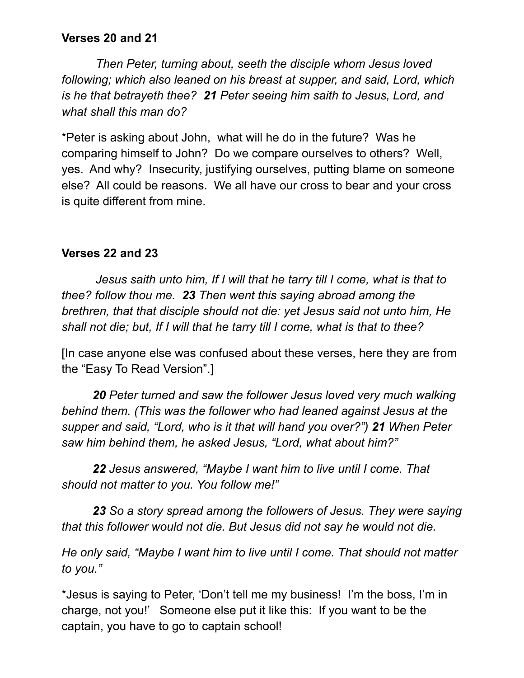#### **Verses 20 and 21**

*Then Peter, turning about, seeth the disciple whom Jesus loved following; which also leaned on his breast at supper, and said, Lord, which is he that betrayeth thee? 21 Peter seeing him saith to Jesus, Lord, and what shall this man do?*

\*Peter is asking about John, what will he do in the future? Was he comparing himself to John? Do we compare ourselves to others? Well, yes. And why? Insecurity, justifying ourselves, putting blame on someone else? All could be reasons. We all have our cross to bear and your cross is quite different from mine.

## **Verses 22 and 23**

*Jesus saith unto him, If I will that he tarry till I come, what is that to thee? follow thou me. 23 Then went this saying abroad among the brethren, that that disciple should not die: yet Jesus said not unto him, He shall not die; but, If I will that he tarry till I come, what is that to thee?*

[In case anyone else was confused about these verses, here they are from the "Easy To Read Version".]

*20 Peter turned and saw the follower Jesus loved very much walking behind them. (This was the follower who had leaned against Jesus at the supper and said, "Lord, who is it that will hand you over?") 21 When Peter saw him behind them, he asked Jesus, "Lord, what about him?"*

*22 Jesus answered, "Maybe I want him to live until I come. That should not matter to you. You follow me!"*

*23 So a story spread among the followers of Jesus. They were saying that this follower would not die. But Jesus did not say he would not die.*

*He only said, "Maybe I want him to live until I come. That should not matter to you."*

\*Jesus is saying to Peter, 'Don't tell me my business! I'm the boss, I'm in charge, not you!' Someone else put it like this: If you want to be the captain, you have to go to captain school!